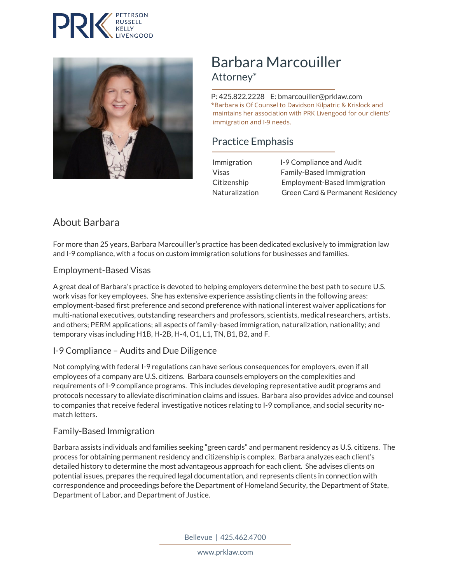



# Barbara Marcouiller Attorney\*

 P: 425.822.2228 E: bmarcouiller@prklaw.com \*Barbara is Of Counsel to Davidson Kilpatric & Krislock and maintains her association with PRK Livengood for our clients' immigration and I-9 needs.

# Practice Emphasis

|  | Immigration           | 1-9 Compliance and Audit         |
|--|-----------------------|----------------------------------|
|  | Visas                 | <b>Family-Based Immigration</b>  |
|  | Citizenship           | Employment-Based Immigration     |
|  | <b>Naturalization</b> | Green Card & Permanent Residency |

# About Barbara

For more than 25 years, Barbara Marcouiller's practice has been dedicated exclusively to immigration law and I-9 compliance, with a focus on custom immigration solutions for businesses and families.

### Employment-Based Visas

A great deal of Barbara's practice is devoted to helping employers determine the best path to secure U.S. work visas for key employees. She has extensive experience assisting clients in the following areas: employment-based first preference and second preference with national interest waiver applications for multi-national executives, outstanding researchers and professors, scientists, medical researchers, artists, and others; PERM applications; all aspects of family-based immigration, naturalization, nationality; and temporary visas including H1B, H-2B, H-4, O1, L1, TN, B1, B2, and F.

#### I-9 Compliance – Audits and Due Diligence

Not complying with federal I-9 regulations can have serious consequences for employers, even if all employees of a company are U.S. citizens. Barbara counsels employers on the complexities and requirements of I-9 compliance programs. This includes developing representative audit programs and protocols necessary to alleviate discrimination claims and issues. Barbara also provides advice and counsel to companies that receive federal investigative notices relating to I-9 compliance, and social security nomatch letters.

#### Family-Based Immigration

Barbara assists individuals and families seeking "green cards" and permanent residency as U.S. citizens. The process for obtaining permanent residency and citizenship is complex. Barbara analyzes each client's detailed history to determine the most advantageous approach for each client. She advises clients on potential issues, prepares the required legal documentation, and represents clients in connection with correspondence and proceedings before the Department of Homeland Security, the Department of State, Department of Labor, and Department of Justice.

Bellevue | 425.462.4700

www.prklaw.com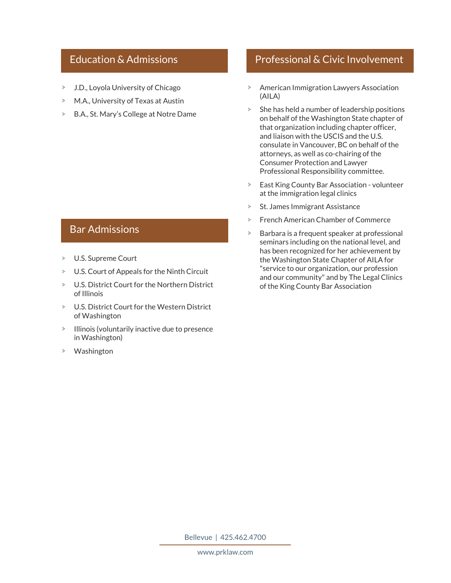### Education & Admissions

- J.D., Loyola University of Chicago  $\geq$
- M.A., University of Texas at Austin
- B.A., St. Mary's College at Notre Dame  $\geq$

### Bar Admissions

- $\geq$ U.S. Supreme Court
- U.S. Court of Appeals for the Ninth Circuit
- $\geq$ U.S. District Court for the Northern District of Illinois
- U.S. District Court for the Western District of Washington
- > Illinois (voluntarily inactive due to presence in Washington)
- Washington

# Professional & Civic Involvement

- American Immigration Lawyers Association (AILA)
- $\geq$  She has held a number of leadership positions on behalf of the Washington State chapter of that organization including chapter officer, and liaison with the USCIS and the U.S. consulate in Vancouver, BC on behalf of the attorneys, as well as co-chairing of the Consumer Protection and Lawyer Professional Responsibility committee.
- East King County Bar Association volunteer at the immigration legal clinics
- ×. St. James Immigrant Assistance
- French American Chamber of Commerce ×.
- Barbara is a frequent speaker at professional ×. seminars including on the national level, and has been recognized for her achievement by the Washington State Chapter of AILA for "service to our organization, our profession and our community" and by The Legal Clinics of the King County Bar Association

Bellevue | 425.462.4700